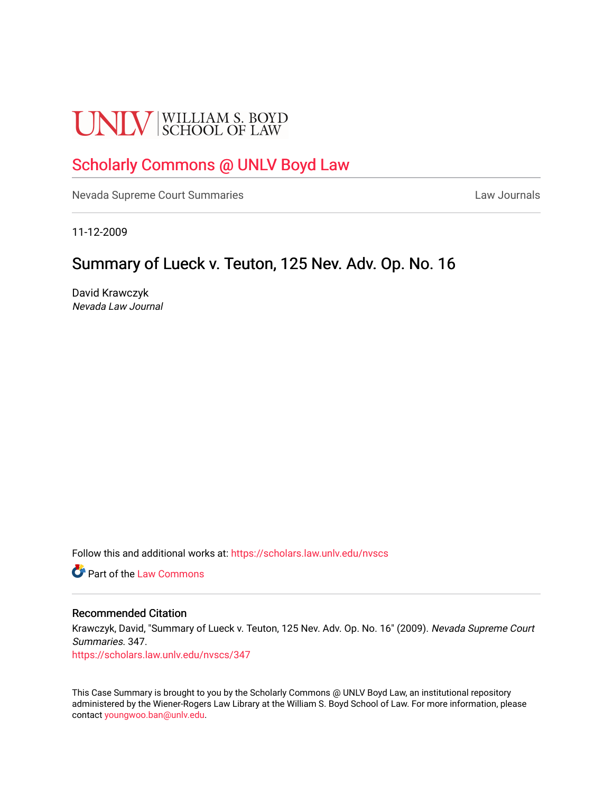# **UNLV** SCHOOL OF LAW

# [Scholarly Commons @ UNLV Boyd Law](https://scholars.law.unlv.edu/)

[Nevada Supreme Court Summaries](https://scholars.law.unlv.edu/nvscs) **Law Journals** Law Journals

11-12-2009

# Summary of Lueck v. Teuton, 125 Nev. Adv. Op. No. 16

David Krawczyk Nevada Law Journal

Follow this and additional works at: [https://scholars.law.unlv.edu/nvscs](https://scholars.law.unlv.edu/nvscs?utm_source=scholars.law.unlv.edu%2Fnvscs%2F347&utm_medium=PDF&utm_campaign=PDFCoverPages)

**C** Part of the [Law Commons](http://network.bepress.com/hgg/discipline/578?utm_source=scholars.law.unlv.edu%2Fnvscs%2F347&utm_medium=PDF&utm_campaign=PDFCoverPages)

#### Recommended Citation

Krawczyk, David, "Summary of Lueck v. Teuton, 125 Nev. Adv. Op. No. 16" (2009). Nevada Supreme Court Summaries. 347.

[https://scholars.law.unlv.edu/nvscs/347](https://scholars.law.unlv.edu/nvscs/347?utm_source=scholars.law.unlv.edu%2Fnvscs%2F347&utm_medium=PDF&utm_campaign=PDFCoverPages)

This Case Summary is brought to you by the Scholarly Commons @ UNLV Boyd Law, an institutional repository administered by the Wiener-Rogers Law Library at the William S. Boyd School of Law. For more information, please contact [youngwoo.ban@unlv.edu](mailto:youngwoo.ban@unlv.edu).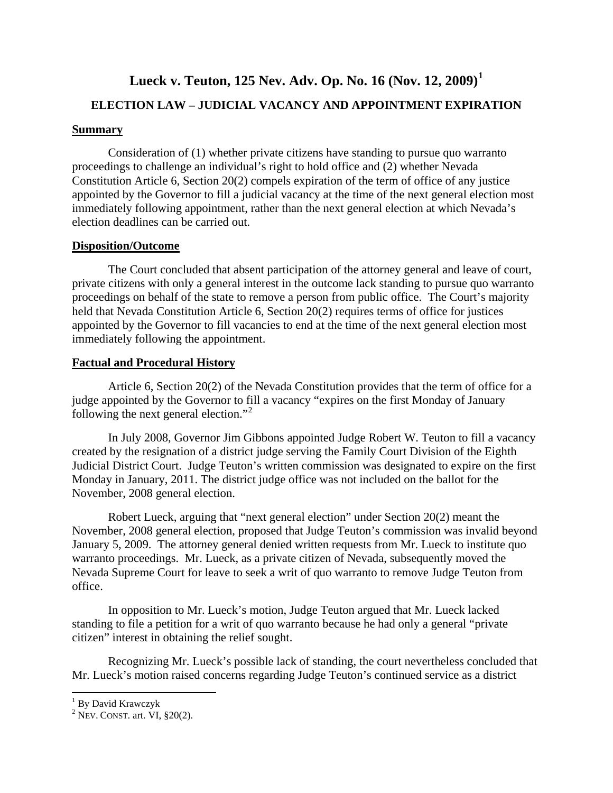# **Lueck v. Teuton, 125 Nev. Adv. Op. No. 16 (Nov. 12, 2009)[1](#page-1-0)**

# **ELECTION LAW – JUDICIAL VACANCY AND APPOINTMENT EXPIRATION**

# **Summary**

Consideration of (1) whether private citizens have standing to pursue quo warranto proceedings to challenge an individual's right to hold office and (2) whether Nevada Constitution Article 6, Section 20(2) compels expiration of the term of office of any justice appointed by the Governor to fill a judicial vacancy at the time of the next general election most immediately following appointment, rather than the next general election at which Nevada's election deadlines can be carried out.

## **Disposition/Outcome**

The Court concluded that absent participation of the attorney general and leave of court, private citizens with only a general interest in the outcome lack standing to pursue quo warranto proceedings on behalf of the state to remove a person from public office. The Court's majority held that Nevada Constitution Article 6, Section 20(2) requires terms of office for justices appointed by the Governor to fill vacancies to end at the time of the next general election most immediately following the appointment.

## **Factual and Procedural History**

Article 6, Section 20(2) of the Nevada Constitution provides that the term of office for a judge appointed by the Governor to fill a vacancy "expires on the first Monday of January following the next general election." [2](#page-1-1)

In July 2008, Governor Jim Gibbons appointed Judge Robert W. Teuton to fill a vacancy created by the resignation of a district judge serving the Family Court Division of the Eighth Judicial District Court. Judge Teuton's written commission was designated to expire on the first Monday in January, 2011. The district judge office was not included on the ballot for the November, 2008 general election.

Robert Lueck, arguing that "next general election" under Section 20(2) meant the November, 2008 general election, proposed that Judge Teuton's commission was invalid beyond January 5, 2009. The attorney general denied written requests from Mr. Lueck to institute quo warranto proceedings. Mr. Lueck, as a private citizen of Nevada, subsequently moved the Nevada Supreme Court for leave to seek a writ of quo warranto to remove Judge Teuton from office.

In opposition to Mr. Lueck's motion, Judge Teuton argued that Mr. Lueck lacked standing to file a petition for a writ of quo warranto because he had only a general "private citizen" interest in obtaining the relief sought.

Recognizing Mr. Lueck's possible lack of standing, the court nevertheless concluded that Mr. Lueck's motion raised concerns regarding Judge Teuton's continued service as a district

 $\overline{\phantom{0}}$ 

<span id="page-1-0"></span><sup>&</sup>lt;sup>1</sup> By David Krawczyk

<span id="page-1-1"></span> $2$  Nev. CONST. art. VI,  $\S 20(2)$ .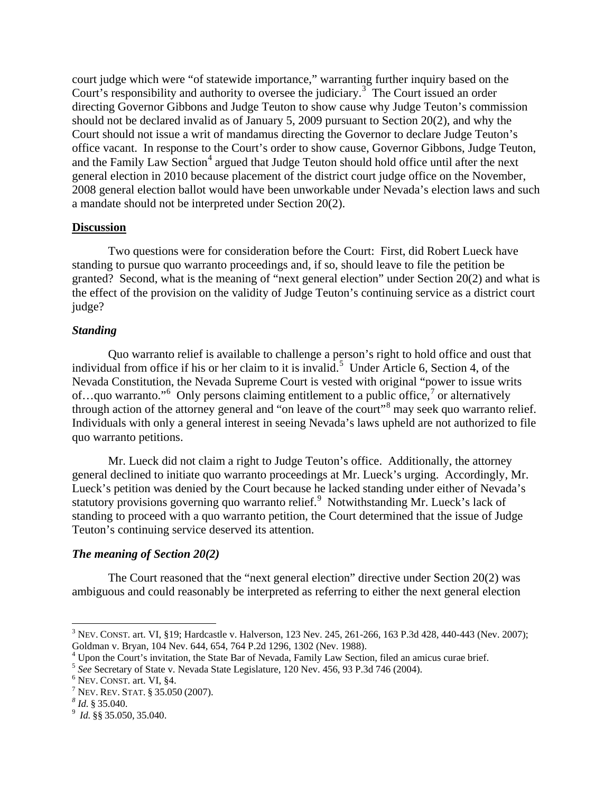court judge which were "of statewide importance," warranting further inquiry based on the Court's responsibility and authority to oversee the judiciary.<sup>[3](#page-2-0)</sup> The Court issued an order directing Governor Gibbons and Judge Teuton to show cause why Judge Teuton's commission should not be declared invalid as of January 5, 2009 pursuant to Section 20(2), and why the Court should not issue a writ of mandamus directing the Governor to declare Judge Teuton's office vacant. In response to the Court's order to show cause, Governor Gibbons, Judge Teuton, and the Family Law Section<sup>[4](#page-2-1)</sup> argued that Judge Teuton should hold office until after the next general election in 2010 because placement of the district court judge office on the November, 2008 general election ballot would have been unworkable under Nevada's election laws and such a mandate should not be interpreted under Section 20(2).

## **Discussion**

Two questions were for consideration before the Court: First, did Robert Lueck have standing to pursue quo warranto proceedings and, if so, should leave to file the petition be granted? Second, what is the meaning of "next general election" under Section 20(2) and what is the effect of the provision on the validity of Judge Teuton's continuing service as a district court judge?

## *Standing*

Quo warranto relief is available to challenge a person's right to hold office and oust that individual from office if his or her claim to it is invalid.<sup>[5](#page-2-2)</sup> Under Article 6, Section 4, of the Nevada Constitution, the Nevada Supreme Court is vested with original "power to issue writs of...quo warranto."<sup>[6](#page-2-3)</sup> Only persons claiming entitlement to a public office,  $\frac{1}{2}$  or alternatively through action of the attorney general and "on leave of the court"<sup>[8](#page-2-5)</sup> may seek quo warranto relief. Individuals with only a general interest in seeing Nevada's laws upheld are not authorized to file quo warranto petitions.

Mr. Lueck did not claim a right to Judge Teuton's office. Additionally, the attorney general declined to initiate quo warranto proceedings at Mr. Lueck's urging. Accordingly, Mr. Lueck's petition was denied by the Court because he lacked standing under either of Nevada's statutory provisions governing quo warranto relief.<sup>[9](#page-2-6)</sup> Notwithstanding Mr. Lueck's lack of standing to proceed with a quo warranto petition, the Court determined that the issue of Judge Teuton's continuing service deserved its attention.

## *The meaning of Section 20(2)*

The Court reasoned that the "next general election" directive under Section 20(2) was ambiguous and could reasonably be interpreted as referring to either the next general election

 $\overline{\phantom{0}}$ 

<span id="page-2-0"></span><sup>&</sup>lt;sup>3</sup> NEV. CONST. art. VI, §19; Hardcastle v. Halverson, 123 Nev. 245, 261-266, 163 P.3d 428, 440-443 (Nev. 2007); Goldman v. Bryan, 104 Nev. 644, 654, 764 P.2d 1296, 1302 (Nev. 1988).

<span id="page-2-1"></span><sup>&</sup>lt;sup>4</sup> Upon the Court's invitation, the State Bar of Nevada, Family Law Section, filed an amicus curae brief.

<span id="page-2-3"></span><span id="page-2-2"></span><sup>&</sup>lt;sup>5</sup> See Secretary of State v. Nevada State Legislature, 120 Nev. 456, 93 P.3d 746 (2004).<br><sup>6</sup> NEV. CONST. art. VI, §4. <sup>7</sup> NEV. REV. STAT. § 35.050 (2007). <sup>8</sup> *Id.* § 35.040. <sup>9</sup> *Id.* §§ 35.050, 35.040.

<span id="page-2-4"></span>

<span id="page-2-5"></span>

<span id="page-2-6"></span>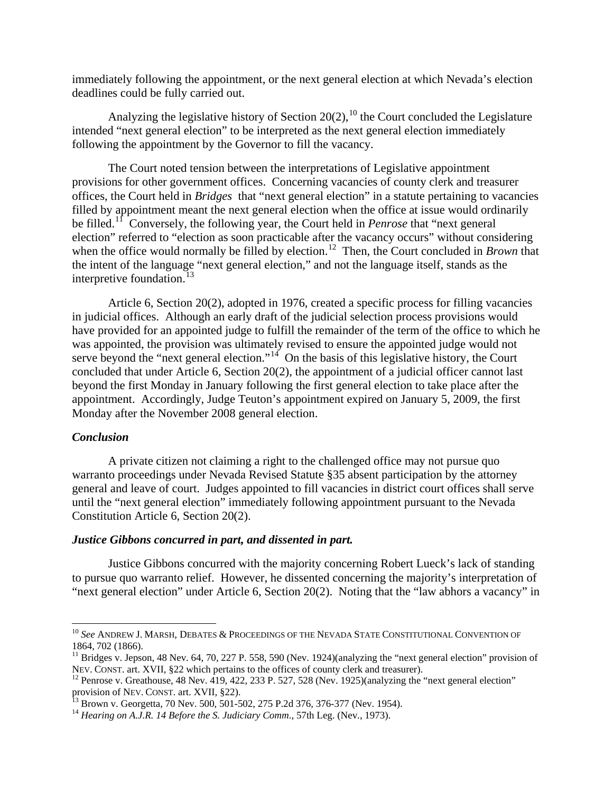immediately following the appointment, or the next general election at which Nevada's election deadlines could be fully carried out.

Analyzing the legislative history of Section  $20(2)$ ,  $^{10}$  $^{10}$  $^{10}$  the Court concluded the Legislature intended "next general election" to be interpreted as the next general election immediately following the appointment by the Governor to fill the vacancy.

The Court noted tension between the interpretations of Legislative appointment provisions for other government offices. Concerning vacancies of county clerk and treasurer offices, the Court held in *Bridges* that "next general election" in a statute pertaining to vacancies filled by appointment meant the next general election when the office at issue would ordinarily be filled. [11](#page-3-1) Conversely, the following year, the Court held in *Penrose* that "next general election" referred to "election as soon practicable after the vacancy occurs" without considering when the office would normally be filled by election.<sup>[12](#page-3-2)</sup> Then, the Court concluded in *Brown* that the intent of the language "next general election," and not the language itself, stands as the interpretive foundation. $^{13}$  $^{13}$  $^{13}$ 

Article 6, Section 20(2), adopted in 1976, created a specific process for filling vacancies in judicial offices. Although an early draft of the judicial selection process provisions would have provided for an appointed judge to fulfill the remainder of the term of the office to which he was appointed, the provision was ultimately revised to ensure the appointed judge would not serve beyond the "next general election."<sup>[14](#page-3-4)</sup> On the basis of this legislative history, the Court concluded that under Article 6, Section 20(2), the appointment of a judicial officer cannot last beyond the first Monday in January following the first general election to take place after the appointment. Accordingly, Judge Teuton's appointment expired on January 5, 2009, the first Monday after the November 2008 general election.

#### *Conclusion*

 $\overline{\phantom{0}}$ 

A private citizen not claiming a right to the challenged office may not pursue quo warranto proceedings under Nevada Revised Statute §35 absent participation by the attorney general and leave of court. Judges appointed to fill vacancies in district court offices shall serve until the "next general election" immediately following appointment pursuant to the Nevada Constitution Article 6, Section 20(2).

#### *Justice Gibbons concurred in part, and dissented in part.*

Justice Gibbons concurred with the majority concerning Robert Lueck's lack of standing to pursue quo warranto relief. However, he dissented concerning the majority's interpretation of "next general election" under Article 6, Section 20(2). Noting that the "law abhors a vacancy" in

<span id="page-3-0"></span><sup>10</sup> *See* ANDREW J. MARSH, DEBATES & PROCEEDINGS OF THE NEVADA STATE CONSTITUTIONAL CONVENTION OF

<span id="page-3-1"></span><sup>1864, 702 (1866).&</sup>lt;br><sup>11</sup> Bridges v. Jepson, 48 Nev. 64, 70, 227 P. 558, 590 (Nev. 1924)(analyzing the "next general election" provision of<br>NEV. CONST. art. XVII, §22 which pertains to the offices of county clerk and treasure

<span id="page-3-2"></span> $12$  Penrose v. Greathouse, 48 Nev. 419, 422, 233 P. 527, 528 (Nev. 1925)(analyzing the "next general election" provision of NEV. CONST. art. XVII, §22).<br><sup>13</sup> Brown v. Georgetta, 70 Nev. 500, 501-502, 275 P.2d 376, 376-377 (Nev. 1954).<br><sup>14</sup> *Hearing on A.J.R. 14 Before the S. Judiciary Comm.*, 57th Leg. (Nev., 1973).

<span id="page-3-3"></span>

<span id="page-3-4"></span>